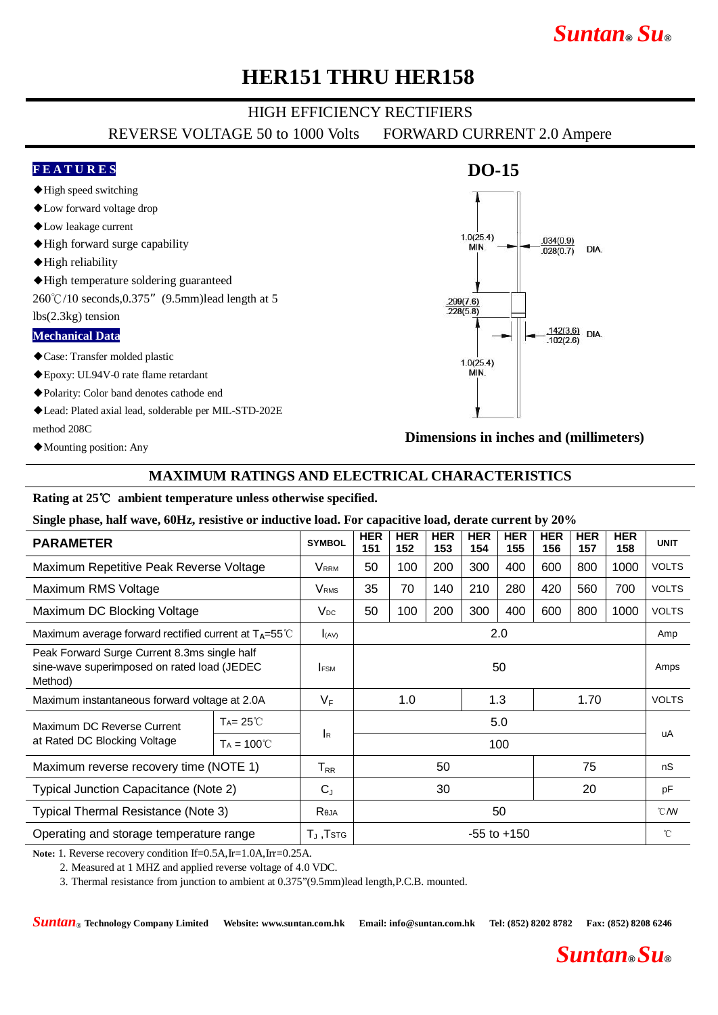# *Suntan***®** *Su***®**

# **HER151 THRU HER158**

## HIGH EFFICIENCY RECTIFIERS

REVERSE VOLTAGE 50 to 1000 Volts FORWARD CURRENT 2.0 Ampere

### **F E A T U R E S**

- ◆High speed switching
- ◆Low forward voltage drop
- ◆Low leakage current
- ◆High forward surge capability
- ◆High reliability
- ◆High temperature soldering guaranteed

260℃/10 seconds,0.375"(9.5mm)lead length at 5

#### lbs(2.3kg) tension

### **Mechanical Data**

- ◆Case: Transfer molded plastic
- ◆Epoxy: UL94V-0 rate flame retardant
- ◆Polarity: Color band denotes cathode end
- ◆Lead: Plated axial lead, solderable per MIL-STD-202E method 208C
- ◆Mounting position: Any

## **DO-15**



**Dimensions in inches and (millimeters)**

## **MAXIMUM RATINGS AND ELECTRICAL CHARACTERISTICS**

### **Rating at 25**℃ **ambient temperature unless otherwise specified.**

**Single phase, half wave, 60Hz, resistive or inductive load. For capacitive load, derate current by 20%**

| <b>PARAMETER</b>                                                                                       |                     | <b>SYMBOL</b>                | <b>HER</b><br>151  | <b>HER</b><br>152 | <b>HER</b><br>153 | <b>HER</b><br>154 | <b>HER</b><br>155 | <b>HER</b><br>156 | <b>HER</b><br>157 | <b>HER</b><br>158 | <b>UNIT</b>  |
|--------------------------------------------------------------------------------------------------------|---------------------|------------------------------|--------------------|-------------------|-------------------|-------------------|-------------------|-------------------|-------------------|-------------------|--------------|
| Maximum Repetitive Peak Reverse Voltage                                                                |                     | Vrrm                         | 50                 | 100               | 200               | 300               | 400               | 600               | 800               | 1000              | <b>VOLTS</b> |
| Maximum RMS Voltage                                                                                    |                     | <b>V</b> <sub>RMS</sub>      | 35                 | 70                | 140               | 210               | 280               | 420               | 560               | 700               | <b>VOLTS</b> |
| Maximum DC Blocking Voltage                                                                            |                     | $V_{DC}$                     | 50                 | 100               | 200               | 300               | 400               | 600               | 800               | 1000              | <b>VOLTS</b> |
| Maximum average forward rectified current at $T_A = 55^{\circ}$ C                                      |                     | (AV)                         | 2.0                |                   |                   |                   |                   |                   |                   |                   | Amp          |
| Peak Forward Surge Current 8.3ms single half<br>sine-wave superimposed on rated load (JEDEC<br>Method) |                     | <b>FSM</b>                   | 50                 |                   |                   |                   |                   |                   |                   | Amps              |              |
| Maximum instantaneous forward voltage at 2.0A                                                          |                     | $V_F$                        | 1.0<br>1.3<br>1.70 |                   |                   |                   |                   | <b>VOLTS</b>      |                   |                   |              |
| Maximum DC Reverse Current<br>at Rated DC Blocking Voltage                                             | $Ta = 25^{\circ}C$  | <b>I</b> R                   | 5.0                |                   |                   |                   |                   |                   |                   |                   | uA           |
|                                                                                                        | $Ta = 100^{\circ}C$ |                              | 100                |                   |                   |                   |                   |                   |                   |                   |              |
| Maximum reverse recovery time (NOTE 1)                                                                 |                     | $T_{RR}$                     | 50                 |                   |                   | 75                |                   | nS                |                   |                   |              |
| Typical Junction Capacitance (Note 2)                                                                  |                     | $C_{J}$                      | 30<br>20           |                   |                   |                   |                   | pF                |                   |                   |              |
| <b>Typical Thermal Resistance (Note 3)</b>                                                             |                     | Reja                         | 50                 |                   |                   |                   |                   |                   |                   | $^{\circ}$ CMV    |              |
| Operating and storage temperature range                                                                |                     | $T_{\rm J}$ , $T$ sт $\rm G$ | $-55$ to $+150$    |                   |                   |                   |                   |                   |                   | °C                |              |

**Note:** 1. Reverse recovery condition If=0.5A,Ir=1.0A,Irr=0.25A.

2. Measured at 1 MHZ and applied reverse voltage of 4.0 VDC.

3. Thermal resistance from junction to ambient at 0.375"(9.5mm)lead length,P.C.B. mounted.

*Suntan*® **Technology Company Limited Website: www.suntan.com.hk Email: info@suntan.com.hk Tel: (852) 8202 8782 Fax: (852) 8208 6246**